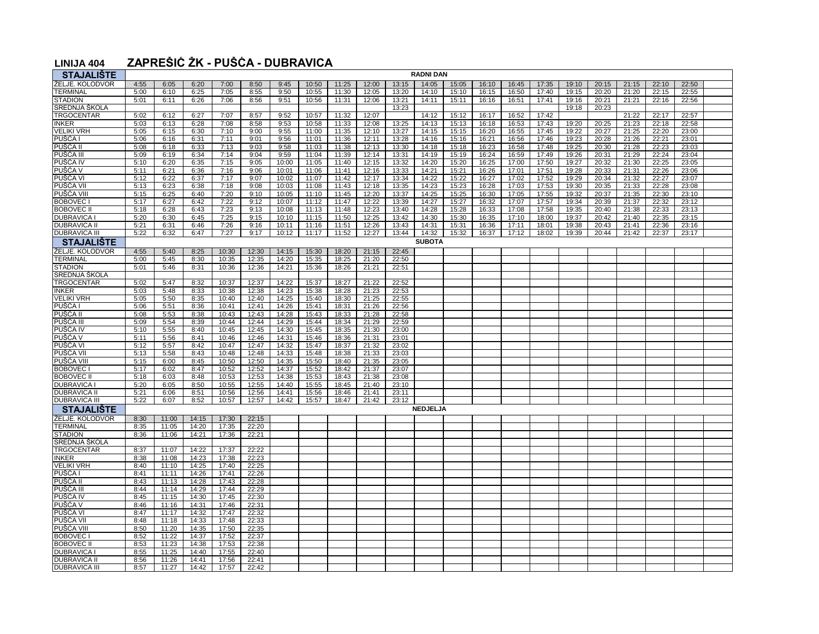## **LINIJA 404 ZAPREŠIĆ ŽK - PUŠĆA - DUBRAVICA**

| <b>STAJALIŠTE</b>            | <b>RADNI DAN</b> |                |                |                |                |                |                |                |                |                |                |                |                |                |                |                |                |                |                |                |  |
|------------------------------|------------------|----------------|----------------|----------------|----------------|----------------|----------------|----------------|----------------|----------------|----------------|----------------|----------------|----------------|----------------|----------------|----------------|----------------|----------------|----------------|--|
| ŽELJE. KOLODVOR              | 4:55             | 6:05           | 6:20           | 7:00           | 8:50           | 9:45           | 10:50          | 11:25          | 12:00          | 13:15          | 14:05          | 15:05          | 16:10          | 16:45          | 17:35          | 19:10          | 20:15          | 21:15          | 22:10          | 22:50          |  |
| <b>TERMINAL</b>              | 5:00             | 6:10           | 6:25           | 7:05           | 8:55           | 9:50           | 10:55          | 11:30          | 12:05          | 13:20          | 14:10          | 15:10          | 16:15          | 16:50          | 17:40          | 19:15          | 20:20          | 21:20          | 22:15          | 22:55          |  |
| <b>STADION</b>               | 5:01             | 6:11           | 6:26           | 7:06           | 8:56           | 9:51           | 10:56          | 11:31          | 12:06          | 13:21          | 14:11          | 15:11          | 16:16          | 16:51          | 17:41          | 19:16          | 20:21          | 21:21          | 22:16          | 22:56          |  |
| SREDNJA ŠKOLA                |                  |                |                |                |                |                |                |                |                | 13:23          |                |                |                |                |                | 19:18          | 20:23          |                |                |                |  |
| <b>TRGOCENTAR</b>            | 5:02             | 6:12           | 6:27           | 7:07           | 8:57           | 9:52           | 10:57          | 11:32          | 12:07          |                | 14:12          | 15:12          | 16:17          | 16:52          | 17:42          |                |                | 21:22          | 22:17          | 22:57          |  |
| <b>INKER</b>                 | 5:03             | 6:13           | 6:28           | 7:08           | 8:58           | 9:53           | 10:58          | 11:33          | 12:08          | 13:25          | 14:13          | 15:13          | 16:18          | 16:53          | 17:43          | 19:20          | 20:25          | 21:23          | 22:18          | 22:58          |  |
| <b>VELIKI VRH</b>            | 5:05             | 6:15           | 6:30           | 7:10           | 9:00           | 9:55           | 11:00          | 11:35          | 12:10          | 13:27          | 14:15          | 15:15          | 16:20          | 16:55          | 17:45          | 19:22          | 20:27          | 21:25          | 22:20          | 23:00          |  |
| PUŠĆA I                      | 5:06             | 6:16           | 6:31           | 7:11           | 9:01           | 9:56           | 11:01          | 11:36          | 12:11          | 13:28          | 14:16          | 15:16          | 16:21          | 16:56          | 17:46          | 19:23          | 20:28          | 21:26          | 22:21          | 23:01          |  |
| PUŚĆA II                     | 5:08             | 6:18           | 6:33           | 7:13           | 9:03           | 9:58           | 11:03          | 11:38          | 12:13          | 13:30          | 14:18          | 15:18          | 16:23          | 16:58          | 17:48          | 19:25          | 20:30          | 21:28          | 22:23          | 23:03          |  |
| PUŠĆA III                    | 5:09             | 6:19           | 6:34           | 7:14           | 9:04           | 9:59           | 11:04          | 11:39          | 12:14          | 13:31          | 14:19          | 15:19          | 16:24          | 16:59          | 17:49          | 19:26          | 20:31          | 21:29          | 22:24          | 23:04          |  |
| PUŠĆA IV                     | 5:10             | 6:20           | 6:35           | 7:15           | 9:05           | 10:00          | 11:05          | 11:40          | 12:15          | 13:32          | 14:20          | 15:20          | 16:25          | 17:00          | 17:50          | 19:27          | 20:32          | 21:30          | 22:25          | 23:05          |  |
| PUŠĆA V                      | 5:11             | 6:21           | 6:36           | 7:16           | 9:06           | 10:01          | 11:06          | 11:41          | 12:16          | 13:33          | 14:21          | 15:21          | 16:26          | 17:01          | 17:51          | 19:28          | 20:33          | 21:31          | 22:26          | 23:06          |  |
| PUŠCA VI                     | 5:12             | 6:22           | 6:37           | 7:17           | 9:07           | 10:02          | 11:07          | 11:42          | 12:17          | 13:34          | 14:22          | 15:22          | 16:27          | 17:02          | 17:52          | 19:29          | 20:34          | 21:32          | 22:27          | 23:07          |  |
| PUŠĆA VI                     | 5:13<br>5:15     | 6:23           | 6:38           | 7:18           | 9:08           | 10:03          | 11:08          | 11:43          | 12:18          | 13:35          | 14:23          | 15:23          | 16:28          | 17:03          | 17:53          | 19:30          | 20:35          | 21:33          | 22:28          | 23:08          |  |
| PUŠĆA VIII<br><b>BOBOVEC</b> | 5:17             | 6:25<br>6:27   | 6:40<br>6:42   | 7:20<br>7:22   | 9:10<br>9:12   | 10:05<br>10:07 | 11:10<br>11:12 | 11:45<br>11:47 | 12:20<br>12:22 | 13:37<br>13:39 | 14:25<br>14:27 | 15:25<br>15:27 | 16:30<br>16:32 | 17:05<br>17:07 | 17:55<br>17:57 | 19:32<br>19:34 | 20:37<br>20:39 | 21:35<br>21:37 | 22:30<br>22:32 | 23:10<br>23:12 |  |
| <b>BOBOVEC II</b>            | 5:18             | 6:28           | 6:43           | 7:23           | 9:13           | 10:08          | 11:13          | 11:48          | 12:23          | 13:40          | 14:28          | 15:28          | 16:33          | 17:08          | 17:58          | 19:35          | 20:40          | 21:38          | 22:33          | 23:13          |  |
| <b>DUBRAVICA</b>             | 5:20             | 6:30           | 6:45           | 7:25           | 9:15           | 10:10          | 11:15          | 11:50          | 12:25          | 13:42          | 14:30          | 15:30          | 16:35          | 17:10          | 18:00          | 19:37          | 20:42          | 21:40          | 22:35          | 23:15          |  |
| <b>DUBRAVICA II</b>          | 5:21             | 6:31           | 6:46           | 7:26           | 9:16           | 10:11          | 11:16          | 11:51          | 12:26          | 13:43          | 14:31          | 15:31          | 16:36          | 17:11          | 18:01          | 19:38          | 20:43          | 21:41          | 22:36          | 23:16          |  |
| <b>DUBRAVICA III</b>         | 5:22             | 6:32           | 6:47           | 7:27           | 9:17           | 10:12          | 11:17          | 11:52          | 12:27          | 13:44          | 14:32          | 15:32          | 16:37          | 17:12          | 18:02          | 19:39          | 20:44          | 21:42          | 22:37          | 23:17          |  |
| <b>STAJALISTE</b>            |                  |                |                |                |                |                |                |                |                |                | <b>SUBOTA</b>  |                |                |                |                |                |                |                |                |                |  |
| ŽELJE. KOLODVOR              | 4:55             | 5:40           | 8:25           | 10:30          | 12:30          | 14:15          | 15:30          | 18:20          | 21:15          | 22:45          |                |                |                |                |                |                |                |                |                |                |  |
| <b>TERMINAL</b>              | 5:00             | 5:45           | 8:30           | 10:35          | 12:35          | 14:20          | 15:35          | 18:25          | 21:20          | 22:50          |                |                |                |                |                |                |                |                |                |                |  |
| <b>STADION</b>               | 5:01             | 5:46           | 8:31           | 10:36          | 12:36          | 14:21          | 15:36          | 18:26          | 21:21          | 22:51          |                |                |                |                |                |                |                |                |                |                |  |
| SREDNJA ŠKOLA                |                  |                |                |                |                |                |                |                |                |                |                |                |                |                |                |                |                |                |                |                |  |
| <b>TRGOCENTAR</b>            | 5:02             | 5:47           | 8:32           | 10:37          | 12:37          | 14:22          | 15:37          | 18:27          | 21:22          | 22:52          |                |                |                |                |                |                |                |                |                |                |  |
| <b>INKER</b>                 | 5:03             | 5:48           | 8:33           | 10:38          | 12:38          | 14:23          | 15:38          | 18:28          | 21:23          | 22:53          |                |                |                |                |                |                |                |                |                |                |  |
| <b>VELIKI VRH</b>            | 5:05             | 5:50           | 8:35           | 10:40          | 12:40          | 14:25          | 15:40          | 18:30          | 21:25          | 22:55          |                |                |                |                |                |                |                |                |                |                |  |
| PUŠĆA                        | 5:06             | 5:51           | 8:36           | 10:41          | 12:41          | 14:26          | 15:41          | 18:31          | 21:26          | 22:56          |                |                |                |                |                |                |                |                |                |                |  |
| PUŚĆA II                     | 5:08             | 5:53           | 8:38           | 10:43          | 12:43          | 14:28          | 15:43          | 18:33          | 21:28          | 22:58          |                |                |                |                |                |                |                |                |                |                |  |
| PUŠĆA III                    | 5:09             | 5:54           | 8:39           | 10:44          | 12:44          | 14:29          | 15:44          | 18:34          | 21:29          | 22:59          |                |                |                |                |                |                |                |                |                |                |  |
| PUŠĆA IV                     | 5:10             | 5:55           | 8:40           | 10:45          | 12:45          | 14:30          | 15:45          | 18:35          | 21:30          | 23:00          |                |                |                |                |                |                |                |                |                |                |  |
| PUŠĆA V                      | 5:11             | 5:56           | 8:41           | 10:46          | 12:46          | 14:31          | 15:46          | 18:36          | 21:31          | 23:01          |                |                |                |                |                |                |                |                |                |                |  |
| PUŠĆA VI                     | 5:12             | 5:57           | 8:42           | 10:47          | 12:47          | 14:32          | 15:47          | 18:37          | 21:32          | 23:02          |                |                |                |                |                |                |                |                |                |                |  |
| PUŠĆA VI                     | 5:13             | 5:58           | 8:43           | 10:48          | 12:48          | 14:33          | 15:48          | 18:38          | 21:33          | 23:03          |                |                |                |                |                |                |                |                |                |                |  |
| PUŠĆA VIII<br><b>BOBOVEC</b> | 5:15<br>5:17     | 6:00<br>6:02   | 8:45<br>8:47   | 10:50<br>10:52 | 12:50<br>12:52 | 14:35<br>14:37 | 15:50<br>15:52 | 18:40<br>18:42 | 21:35<br>21:37 | 23:05<br>23:07 |                |                |                |                |                |                |                |                |                |                |  |
| <b>BOBOVEC II</b>            | 5:18             | 6:03           | 8:48           | 10:53          | 12:53          | 14:38          | 15:53          | 18:43          | 21:38          | 23:08          |                |                |                |                |                |                |                |                |                |                |  |
| <b>DUBRAVICA</b>             | 5:20             | 6:05           | 8:50           | 10:55          | 12:55          | 14:40          | 15:55          | 18:45          | 21:40          | 23:10          |                |                |                |                |                |                |                |                |                |                |  |
| <b>DUBRAVICA II</b>          | 5:21             | 6:06           | 8:51           | 10:56          | 12:56          | 14:41          | 15:56          | 18:46          | 21:41          | 23:11          |                |                |                |                |                |                |                |                |                |                |  |
| <b>DUBRAVICA II</b>          | 5:22             | 6:07           | 8:52           | 10:57          | 12:57          | 14:42          | 15:57          | 18:47          | 21:42          | 23:12          |                |                |                |                |                |                |                |                |                |                |  |
| <b>STAJALIŠTE</b>            |                  |                |                |                |                |                |                |                |                |                | NEDJELJA       |                |                |                |                |                |                |                |                |                |  |
| ŽELJE. KOLODVOR              | 8:30             | 11:00          | 14:15          | 17:30          | 22:15          |                |                |                |                |                |                |                |                |                |                |                |                |                |                |                |  |
| <b>TERMINAL</b>              | 8:35             | 11:05          | 14:20          | 17:35          | 22:20          |                |                |                |                |                |                |                |                |                |                |                |                |                |                |                |  |
| <b>STADION</b>               | 8:36             | 11:06          | 14:21          | 17:36          | 22:21          |                |                |                |                |                |                |                |                |                |                |                |                |                |                |                |  |
| SREDNJA ŠKOLA                |                  |                |                |                |                |                |                |                |                |                |                |                |                |                |                |                |                |                |                |                |  |
| <b>TRGOCENTAR</b>            | 8:37             | 11:07          | 14:22          | 17:37          | 22:22          |                |                |                |                |                |                |                |                |                |                |                |                |                |                |                |  |
| <b>INKER</b>                 | 8:38             | 11:08          | 14:23          | 17:38          | 22:23          |                |                |                |                |                |                |                |                |                |                |                |                |                |                |                |  |
| <b>VELIKI VRH</b>            | 8:40             | 11:10          | 14:25          | 17:40          | 22:25          |                |                |                |                |                |                |                |                |                |                |                |                |                |                |                |  |
| PUŠĆA I                      | 8:41             | 11:11          | 14:26          | 17:41          | 22:26          |                |                |                |                |                |                |                |                |                |                |                |                |                |                |                |  |
| PUŠĆA II                     | 8:43             | 11:13          | 14:28          | 17:43          | 22:28          |                |                |                |                |                |                |                |                |                |                |                |                |                |                |                |  |
| PUŠĆA III                    | 8:44             | 11:14          | 14:29          | 17:44          | 22:29          |                |                |                |                |                |                |                |                |                |                |                |                |                |                |                |  |
| PUSCA IV                     | 8:45             | 11:15          | 14:30          | 17:45          | 22:30          |                |                |                |                |                |                |                |                |                |                |                |                |                |                |                |  |
| PUŠĆA V                      | 8:46             | 11:16          | 14:31          | 17:46          | 22:31          |                |                |                |                |                |                |                |                |                |                |                |                |                |                |                |  |
| PUŠĆA VI                     | 8:47             | 11:17          | 14:32          | 17:47          | 22:32          |                |                |                |                |                |                |                |                |                |                |                |                |                |                |                |  |
| PUSCA VI<br>PUŠĆA VIII       | 8:48<br>8:50     | 11:18<br>11:20 | 14:33<br>14:35 | 17:48<br>17:50 | 22:33<br>22:35 |                |                |                |                |                |                |                |                |                |                |                |                |                |                |                |  |
| <b>BOBOVEC</b>               | 8:52             | 11:22          | 14:37          | 17:52          | 22:37          |                |                |                |                |                |                |                |                |                |                |                |                |                |                |                |  |
| <b>BOBOVEC II</b>            | 8:53             | 11:23          | 14:38          | 17:53          | 22:38          |                |                |                |                |                |                |                |                |                |                |                |                |                |                |                |  |
| <b>DUBRAVICA</b>             | 8:55             | 11:25          | 14:40          | 17:55          | 22:40          |                |                |                |                |                |                |                |                |                |                |                |                |                |                |                |  |
| <b>DUBRAVICA II</b>          | 8:56             | 11:26          | 14:41          | 17:56          | 22:41          |                |                |                |                |                |                |                |                |                |                |                |                |                |                |                |  |
| <b>DUBRAVICA II</b>          | 8:57             | 11:27          | 14:42          | 17:57          | 22:42          |                |                |                |                |                |                |                |                |                |                |                |                |                |                |                |  |
|                              |                  |                |                |                |                |                |                |                |                |                |                |                |                |                |                |                |                |                |                |                |  |